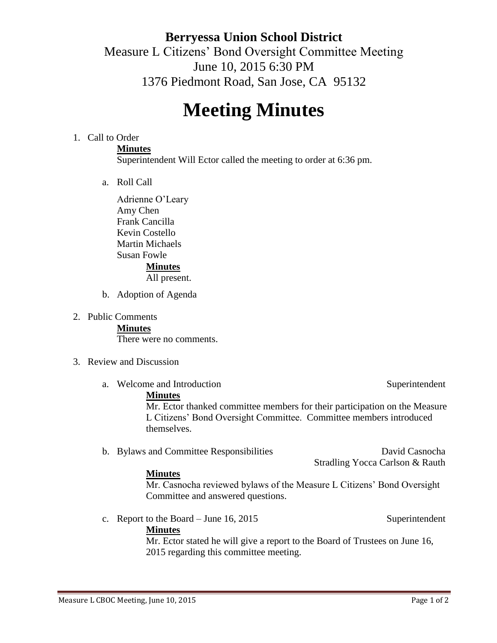# **Berryessa Union School District** Measure L Citizens' Bond Oversight Committee Meeting June 10, 2015 6:30 PM 1376 Piedmont Road, San Jose, CA 95132

# **Meeting Minutes**

#### 1. Call to Order

#### **Minutes**

Superintendent Will Ector called the meeting to order at 6:36 pm.

a. Roll Call

Adrienne O'Leary Amy Chen Frank Cancilla Kevin Costello Martin Michaels Susan Fowle **Minutes**

#### All present.

- b. Adoption of Agenda
- 2. Public Comments

**Minutes**

There were no comments.

- 3. Review and Discussion
	- a. Welcome and Introduction Superintendent Superintendent

#### **Minutes**

Mr. Ector thanked committee members for their participation on the Measure L Citizens' Bond Oversight Committee. Committee members introduced themselves.

b. Bylaws and Committee Responsibilities David Casnocha

Stradling Yocca Carlson & Rauth

#### **Minutes**

Mr. Casnocha reviewed bylaws of the Measure L Citizens' Bond Oversight Committee and answered questions.

c. Report to the Board – June 16, 2015

#### **Minutes**

Mr. Ector stated he will give a report to the Board of Trustees on June 16, 2015 regarding this committee meeting.